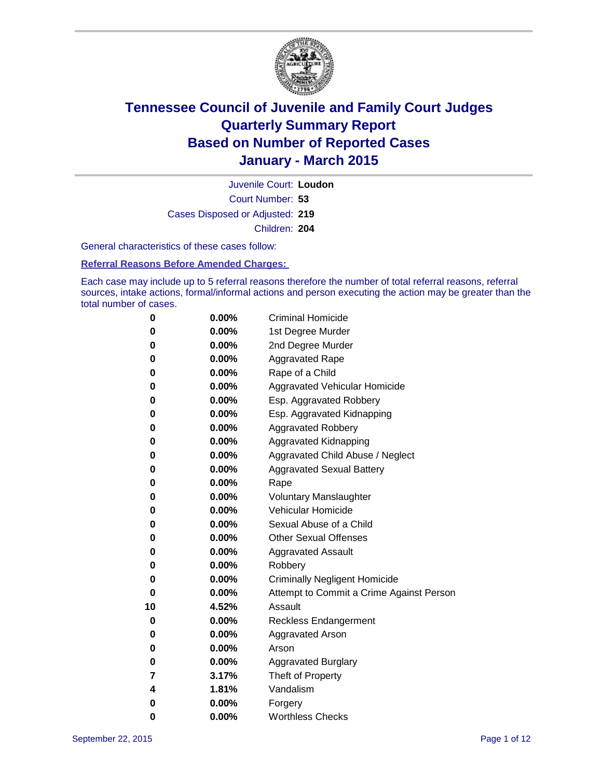

Court Number: **53** Juvenile Court: **Loudon** Cases Disposed or Adjusted: **219** Children: **204**

General characteristics of these cases follow:

### **Referral Reasons Before Amended Charges:**

Each case may include up to 5 referral reasons therefore the number of total referral reasons, referral sources, intake actions, formal/informal actions and person executing the action may be greater than the total number of cases.

| 0  | 0.00%    | <b>Criminal Homicide</b>                 |
|----|----------|------------------------------------------|
| 0  | 0.00%    | 1st Degree Murder                        |
| 0  | 0.00%    | 2nd Degree Murder                        |
| 0  | 0.00%    | <b>Aggravated Rape</b>                   |
| 0  | $0.00\%$ | Rape of a Child                          |
| 0  | 0.00%    | Aggravated Vehicular Homicide            |
| 0  | 0.00%    | Esp. Aggravated Robbery                  |
| 0  | $0.00\%$ | Esp. Aggravated Kidnapping               |
| 0  | 0.00%    | <b>Aggravated Robbery</b>                |
| 0  | 0.00%    | <b>Aggravated Kidnapping</b>             |
| 0  | 0.00%    | Aggravated Child Abuse / Neglect         |
| 0  | 0.00%    | <b>Aggravated Sexual Battery</b>         |
| 0  | 0.00%    | Rape                                     |
| 0  | $0.00\%$ | <b>Voluntary Manslaughter</b>            |
| 0  | $0.00\%$ | <b>Vehicular Homicide</b>                |
| 0  | 0.00%    | Sexual Abuse of a Child                  |
| 0  | 0.00%    | <b>Other Sexual Offenses</b>             |
| 0  | $0.00\%$ | <b>Aggravated Assault</b>                |
| 0  | 0.00%    | Robbery                                  |
| 0  | 0.00%    | <b>Criminally Negligent Homicide</b>     |
| 0  | 0.00%    | Attempt to Commit a Crime Against Person |
| 10 | 4.52%    | Assault                                  |
| 0  | 0.00%    | <b>Reckless Endangerment</b>             |
| 0  | $0.00\%$ | <b>Aggravated Arson</b>                  |
| 0  | $0.00\%$ | Arson                                    |
| 0  | 0.00%    | <b>Aggravated Burglary</b>               |
| 7  | 3.17%    | Theft of Property                        |
| 4  | 1.81%    | Vandalism                                |
| 0  | 0.00%    | Forgery                                  |
| 0  | 0.00%    | <b>Worthless Checks</b>                  |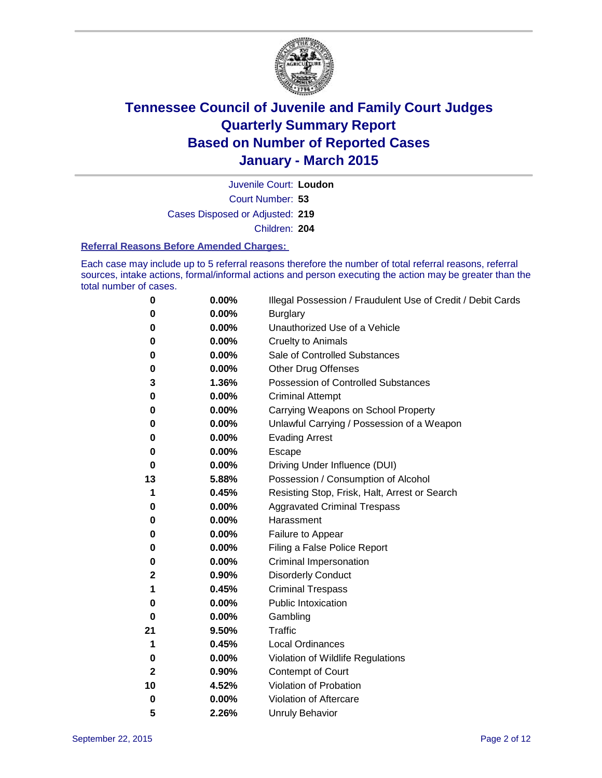

Court Number: **53** Juvenile Court: **Loudon** Cases Disposed or Adjusted: **219** Children: **204**

#### **Referral Reasons Before Amended Charges:**

Each case may include up to 5 referral reasons therefore the number of total referral reasons, referral sources, intake actions, formal/informal actions and person executing the action may be greater than the total number of cases.

| 0  | $0.00\%$ | Illegal Possession / Fraudulent Use of Credit / Debit Cards |
|----|----------|-------------------------------------------------------------|
| 0  | 0.00%    | <b>Burglary</b>                                             |
| 0  | 0.00%    | Unauthorized Use of a Vehicle                               |
| 0  | 0.00%    | <b>Cruelty to Animals</b>                                   |
| 0  | 0.00%    | Sale of Controlled Substances                               |
| 0  | 0.00%    | <b>Other Drug Offenses</b>                                  |
| 3  | 1.36%    | Possession of Controlled Substances                         |
| 0  | 0.00%    | <b>Criminal Attempt</b>                                     |
| 0  | 0.00%    | Carrying Weapons on School Property                         |
| 0  | 0.00%    | Unlawful Carrying / Possession of a Weapon                  |
| 0  | 0.00%    | <b>Evading Arrest</b>                                       |
| 0  | 0.00%    | Escape                                                      |
| 0  | 0.00%    | Driving Under Influence (DUI)                               |
| 13 | 5.88%    | Possession / Consumption of Alcohol                         |
| 1  | 0.45%    | Resisting Stop, Frisk, Halt, Arrest or Search               |
| 0  | 0.00%    | <b>Aggravated Criminal Trespass</b>                         |
| 0  | 0.00%    | Harassment                                                  |
| 0  | 0.00%    | Failure to Appear                                           |
| 0  | 0.00%    | Filing a False Police Report                                |
| 0  | 0.00%    | Criminal Impersonation                                      |
| 2  | 0.90%    | <b>Disorderly Conduct</b>                                   |
| 1  | 0.45%    | <b>Criminal Trespass</b>                                    |
| 0  | 0.00%    | Public Intoxication                                         |
| 0  | 0.00%    | Gambling                                                    |
| 21 | 9.50%    | Traffic                                                     |
| 1  | 0.45%    | <b>Local Ordinances</b>                                     |
| 0  | 0.00%    | Violation of Wildlife Regulations                           |
| 2  | 0.90%    | Contempt of Court                                           |
| 10 | 4.52%    | Violation of Probation                                      |
| 0  | 0.00%    | Violation of Aftercare                                      |
| 5  | 2.26%    | <b>Unruly Behavior</b>                                      |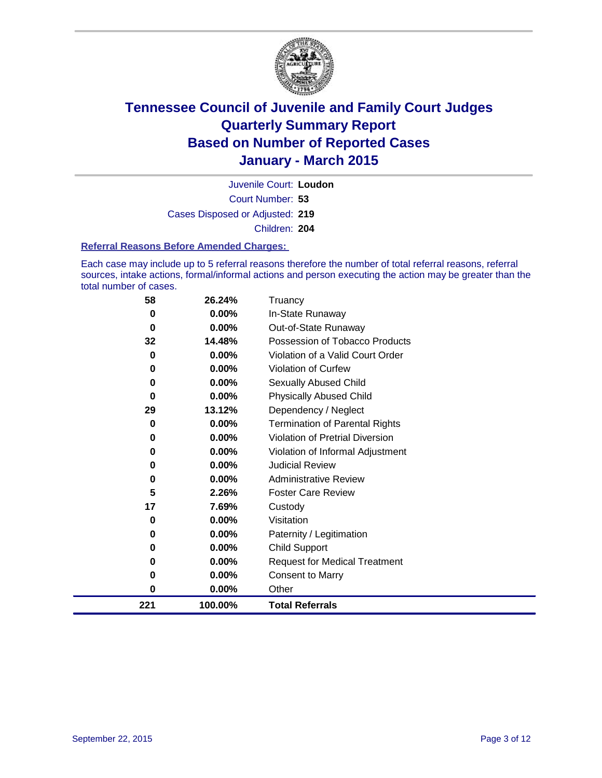

Court Number: **53** Juvenile Court: **Loudon** Cases Disposed or Adjusted: **219** Children: **204**

### **Referral Reasons Before Amended Charges:**

Each case may include up to 5 referral reasons therefore the number of total referral reasons, referral sources, intake actions, formal/informal actions and person executing the action may be greater than the total number of cases.

| 58  | 26.24%   | Truancy                               |
|-----|----------|---------------------------------------|
| 0   | 0.00%    | In-State Runaway                      |
| 0   | 0.00%    | Out-of-State Runaway                  |
| 32  | 14.48%   | Possession of Tobacco Products        |
| 0   | $0.00\%$ | Violation of a Valid Court Order      |
| 0   | 0.00%    | <b>Violation of Curfew</b>            |
| 0   | 0.00%    | Sexually Abused Child                 |
| 0   | 0.00%    | <b>Physically Abused Child</b>        |
| 29  | 13.12%   | Dependency / Neglect                  |
| 0   | 0.00%    | <b>Termination of Parental Rights</b> |
| 0   | 0.00%    | Violation of Pretrial Diversion       |
| 0   | $0.00\%$ | Violation of Informal Adjustment      |
| 0   | $0.00\%$ | <b>Judicial Review</b>                |
| 0   | 0.00%    | <b>Administrative Review</b>          |
| 5   | 2.26%    | <b>Foster Care Review</b>             |
| 17  | 7.69%    | Custody                               |
| 0   | 0.00%    | Visitation                            |
| 0   | 0.00%    | Paternity / Legitimation              |
| 0   | 0.00%    | <b>Child Support</b>                  |
| 0   | 0.00%    | <b>Request for Medical Treatment</b>  |
| 0   | 0.00%    | <b>Consent to Marry</b>               |
| 0   | 0.00%    | Other                                 |
| 221 | 100.00%  | <b>Total Referrals</b>                |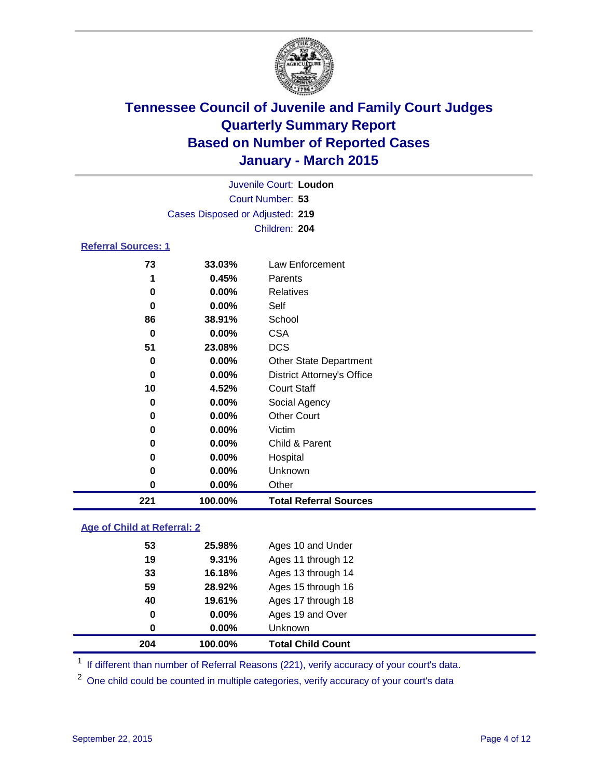

| Juvenile Court: Loudon          |               |
|---------------------------------|---------------|
| Court Number: 53                |               |
| Cases Disposed or Adjusted: 219 |               |
|                                 | Children: 204 |
|                                 |               |

### **Referral Sources: 1**

| 221 | 100.00%  | <b>Total Referral Sources</b>     |
|-----|----------|-----------------------------------|
| 0   | $0.00\%$ | Other                             |
| 0   | $0.00\%$ | Unknown                           |
| 0   | $0.00\%$ | Hospital                          |
| 0   | $0.00\%$ | Child & Parent                    |
| 0   | $0.00\%$ | Victim                            |
| 0   | $0.00\%$ | <b>Other Court</b>                |
| 0   | $0.00\%$ | Social Agency                     |
| 10  | 4.52%    | <b>Court Staff</b>                |
| 0   | $0.00\%$ | <b>District Attorney's Office</b> |
| 0   | $0.00\%$ | <b>Other State Department</b>     |
| 51  | 23.08%   | <b>DCS</b>                        |
| 0   | $0.00\%$ | <b>CSA</b>                        |
| 86  | 38.91%   | School                            |
| 0   | $0.00\%$ | Self                              |
| 0   | $0.00\%$ | <b>Relatives</b>                  |
|     | 0.45%    | Parents                           |
| 73  | 33.03%   | Law Enforcement                   |

### **Age of Child at Referral: 2**

| 204 | 100.00%  | <b>Total Child Count</b> |
|-----|----------|--------------------------|
| 0   | $0.00\%$ | <b>Unknown</b>           |
| 0   | $0.00\%$ | Ages 19 and Over         |
| 40  | 19.61%   | Ages 17 through 18       |
| 59  | 28.92%   | Ages 15 through 16       |
| 33  | 16.18%   | Ages 13 through 14       |
| 19  | 9.31%    | Ages 11 through 12       |
| 53  | 25.98%   | Ages 10 and Under        |

<sup>1</sup> If different than number of Referral Reasons (221), verify accuracy of your court's data.

One child could be counted in multiple categories, verify accuracy of your court's data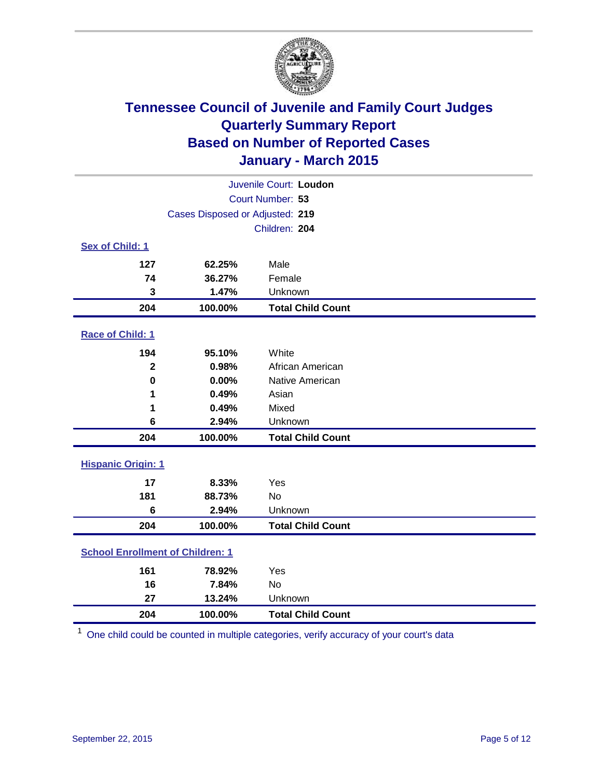

| Juvenile Court: Loudon                  |                                 |                          |  |  |
|-----------------------------------------|---------------------------------|--------------------------|--|--|
|                                         | Court Number: 53                |                          |  |  |
|                                         | Cases Disposed or Adjusted: 219 |                          |  |  |
|                                         |                                 | Children: 204            |  |  |
| Sex of Child: 1                         |                                 |                          |  |  |
| 127                                     | 62.25%                          | Male                     |  |  |
| 74                                      | 36.27%                          | Female                   |  |  |
| 3                                       | 1.47%                           | Unknown                  |  |  |
| 204                                     | 100.00%                         | <b>Total Child Count</b> |  |  |
| Race of Child: 1                        |                                 |                          |  |  |
| 194                                     | 95.10%                          | White                    |  |  |
| $\overline{\mathbf{2}}$                 | 0.98%                           | African American         |  |  |
| $\bf{0}$                                | 0.00%                           | Native American          |  |  |
| 1                                       | 0.49%                           | Asian                    |  |  |
| 1                                       | 0.49%                           | Mixed                    |  |  |
| 6                                       | 2.94%                           | Unknown                  |  |  |
| 204                                     | 100.00%                         | <b>Total Child Count</b> |  |  |
| <b>Hispanic Origin: 1</b>               |                                 |                          |  |  |
| 17                                      | 8.33%                           | Yes                      |  |  |
| 181                                     | 88.73%                          | <b>No</b>                |  |  |
| 6                                       | 2.94%                           | Unknown                  |  |  |
| 204                                     | 100.00%                         | <b>Total Child Count</b> |  |  |
| <b>School Enrollment of Children: 1</b> |                                 |                          |  |  |
| 161                                     | 78.92%                          | Yes                      |  |  |
| 16                                      | 7.84%                           | No                       |  |  |
| 27                                      | 13.24%                          | Unknown                  |  |  |
| 204                                     | 100.00%                         | <b>Total Child Count</b> |  |  |

One child could be counted in multiple categories, verify accuracy of your court's data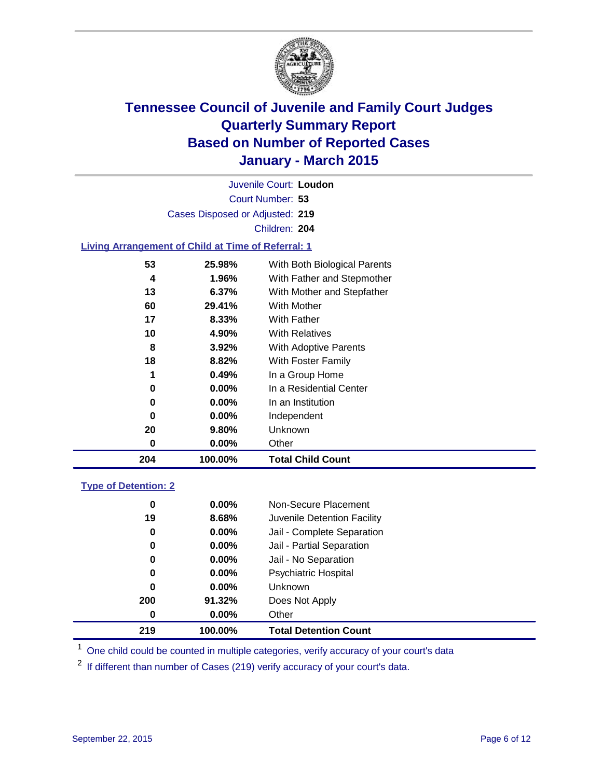

Court Number: **53** Juvenile Court: **Loudon** Cases Disposed or Adjusted: **219** Children: **204**

### **Living Arrangement of Child at Time of Referral: 1**

| 0  | $0.00\%$ | Other                        |
|----|----------|------------------------------|
| 20 | 9.80%    | Unknown                      |
| 0  | $0.00\%$ | Independent                  |
| 0  | $0.00\%$ | In an Institution            |
| 0  | $0.00\%$ | In a Residential Center      |
| 1  | 0.49%    | In a Group Home              |
| 18 | 8.82%    | With Foster Family           |
| 8  | 3.92%    | With Adoptive Parents        |
| 10 | 4.90%    | <b>With Relatives</b>        |
| 17 | 8.33%    | With Father                  |
| 60 | 29.41%   | With Mother                  |
| 13 | 6.37%    | With Mother and Stepfather   |
| 4  | 1.96%    | With Father and Stepmother   |
| 53 | 25.98%   | With Both Biological Parents |
|    |          |                              |

#### **Type of Detention: 2**

| 0<br>19<br>0<br>0<br>0<br>0<br>0<br>200 | $0.00\%$<br>8.68%<br>$0.00\%$<br>$0.00\%$<br>$0.00\%$<br>$0.00\%$<br>$0.00\%$<br>91.32% | Non-Secure Placement<br>Juvenile Detention Facility<br>Jail - Complete Separation<br>Jail - Partial Separation<br>Jail - No Separation<br><b>Psychiatric Hospital</b><br><b>Unknown</b><br>Does Not Apply |  |
|-----------------------------------------|-----------------------------------------------------------------------------------------|-----------------------------------------------------------------------------------------------------------------------------------------------------------------------------------------------------------|--|
| 0                                       | $0.00\%$                                                                                | Other                                                                                                                                                                                                     |  |
| 219                                     | 100.00%                                                                                 | <b>Total Detention Count</b>                                                                                                                                                                              |  |

<sup>1</sup> One child could be counted in multiple categories, verify accuracy of your court's data

If different than number of Cases (219) verify accuracy of your court's data.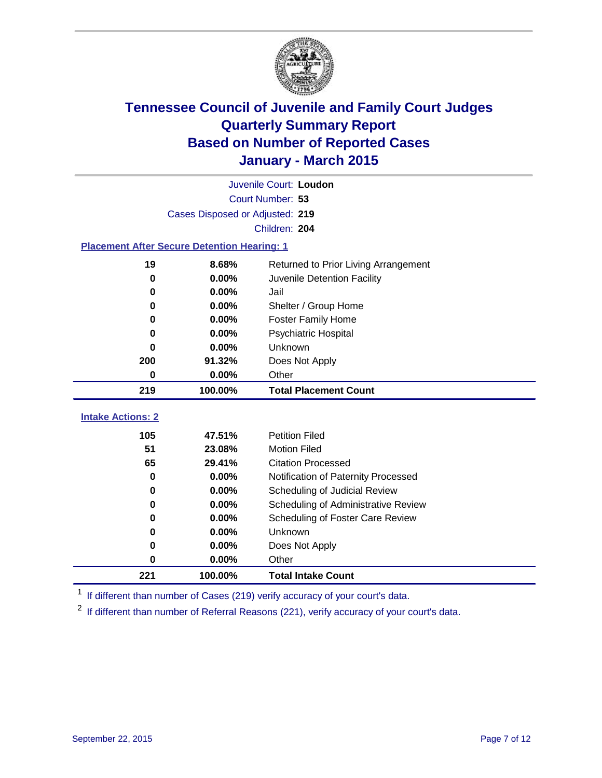

|                                                    | Juvenile Court: Loudon          |                                      |  |  |  |
|----------------------------------------------------|---------------------------------|--------------------------------------|--|--|--|
|                                                    | Court Number: 53                |                                      |  |  |  |
|                                                    | Cases Disposed or Adjusted: 219 |                                      |  |  |  |
|                                                    |                                 | Children: 204                        |  |  |  |
| <b>Placement After Secure Detention Hearing: 1</b> |                                 |                                      |  |  |  |
| 19                                                 | 8.68%                           | Returned to Prior Living Arrangement |  |  |  |
| $\bf{0}$                                           | 0.00%                           | Juvenile Detention Facility          |  |  |  |
| 0                                                  | 0.00%                           | Jail                                 |  |  |  |
| 0                                                  | 0.00%                           | Shelter / Group Home                 |  |  |  |
| 0                                                  | 0.00%                           | <b>Foster Family Home</b>            |  |  |  |
| $\bf{0}$                                           | 0.00%                           | Psychiatric Hospital                 |  |  |  |
| 0                                                  | 0.00%                           | Unknown                              |  |  |  |
| 200                                                | 91.32%                          | Does Not Apply                       |  |  |  |
| $\bf{0}$                                           | 0.00%                           | Other                                |  |  |  |
| 219                                                | 100.00%                         | <b>Total Placement Count</b>         |  |  |  |
|                                                    |                                 |                                      |  |  |  |
| <b>Intake Actions: 2</b>                           |                                 |                                      |  |  |  |
| 105                                                | 47.51%                          | <b>Petition Filed</b>                |  |  |  |
| 51                                                 | 23.08%                          | <b>Motion Filed</b>                  |  |  |  |
| 65                                                 | 29.41%                          | <b>Citation Processed</b>            |  |  |  |
| 0                                                  | 0.00%                           | Notification of Paternity Processed  |  |  |  |
| 0                                                  | 0.00%                           | Scheduling of Judicial Review        |  |  |  |
| 0                                                  | 0.00%                           | Scheduling of Administrative Review  |  |  |  |
| 0                                                  | 0.00%                           | Scheduling of Foster Care Review     |  |  |  |
| 0                                                  | 0.00%                           | Unknown                              |  |  |  |
| 0                                                  | 0.00%                           | Does Not Apply                       |  |  |  |
| 0                                                  | 0.00%                           | Other                                |  |  |  |
| 221                                                | 100.00%                         | <b>Total Intake Count</b>            |  |  |  |

<sup>1</sup> If different than number of Cases (219) verify accuracy of your court's data.

<sup>2</sup> If different than number of Referral Reasons (221), verify accuracy of your court's data.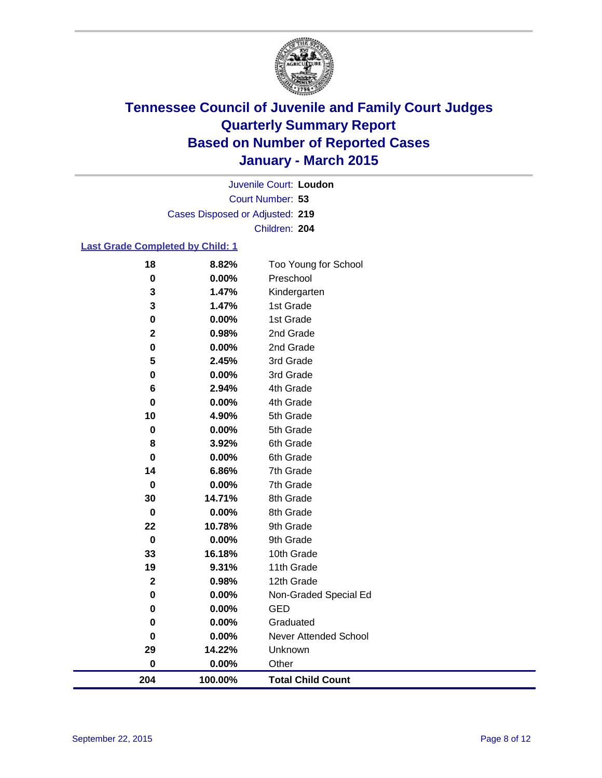

Court Number: **53** Juvenile Court: **Loudon** Cases Disposed or Adjusted: **219** Children: **204**

### **Last Grade Completed by Child: 1**

| 18           | 8.82%   | Too Young for School         |
|--------------|---------|------------------------------|
| $\pmb{0}$    | 0.00%   | Preschool                    |
| 3            | 1.47%   | Kindergarten                 |
| 3            | 1.47%   | 1st Grade                    |
| 0            | 0.00%   | 1st Grade                    |
| $\mathbf 2$  | 0.98%   | 2nd Grade                    |
| $\mathbf 0$  | 0.00%   | 2nd Grade                    |
| 5            | 2.45%   | 3rd Grade                    |
| 0            | 0.00%   | 3rd Grade                    |
| 6            | 2.94%   | 4th Grade                    |
| 0            | 0.00%   | 4th Grade                    |
| 10           | 4.90%   | 5th Grade                    |
| $\pmb{0}$    | 0.00%   | 5th Grade                    |
| 8            | 3.92%   | 6th Grade                    |
| $\bf{0}$     | 0.00%   | 6th Grade                    |
| 14           | 6.86%   | 7th Grade                    |
| $\mathbf 0$  | 0.00%   | 7th Grade                    |
| 30           | 14.71%  | 8th Grade                    |
| 0            | 0.00%   | 8th Grade                    |
| 22           | 10.78%  | 9th Grade                    |
| 0            | 0.00%   | 9th Grade                    |
| 33           | 16.18%  | 10th Grade                   |
| 19           | 9.31%   | 11th Grade                   |
| $\mathbf{2}$ | 0.98%   | 12th Grade                   |
| $\mathbf 0$  | 0.00%   | Non-Graded Special Ed        |
| 0            | 0.00%   | <b>GED</b>                   |
| 0            | 0.00%   | Graduated                    |
| $\pmb{0}$    | 0.00%   | <b>Never Attended School</b> |
| 29           | 14.22%  | Unknown                      |
| $\pmb{0}$    | 0.00%   | Other                        |
| 204          | 100.00% | <b>Total Child Count</b>     |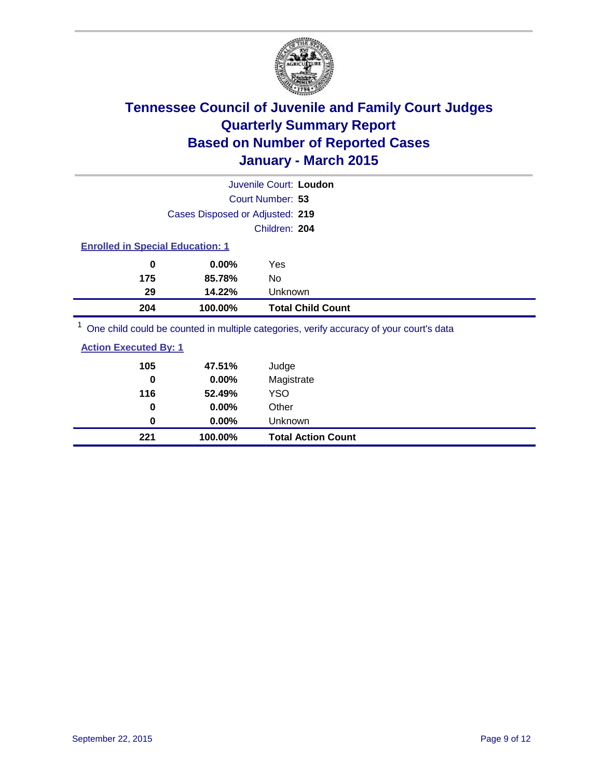

|                                                                                         |                                         | Juvenile Court: Loudon   |  |  |  |
|-----------------------------------------------------------------------------------------|-----------------------------------------|--------------------------|--|--|--|
|                                                                                         |                                         | Court Number: 53         |  |  |  |
|                                                                                         | Cases Disposed or Adjusted: 219         |                          |  |  |  |
|                                                                                         |                                         | Children: 204            |  |  |  |
|                                                                                         | <b>Enrolled in Special Education: 1</b> |                          |  |  |  |
| 0                                                                                       | $0.00\%$                                | Yes                      |  |  |  |
| 175                                                                                     | 85.78%                                  | No                       |  |  |  |
| 29                                                                                      | 14.22%                                  | Unknown                  |  |  |  |
| 204                                                                                     | 100.00%                                 | <b>Total Child Count</b> |  |  |  |
| One child could be counted in multiple categories, verify accuracy of your court's data |                                         |                          |  |  |  |

| <b>Action Executed By: 1</b> |         |                           |
|------------------------------|---------|---------------------------|
| 105                          | 47.51%  | Judge                     |
| 0                            | 0.00%   | Magistrate                |
| 116                          | 52.49%  | YSO                       |
| 0                            | 0.00%   | Other                     |
| 0                            | 0.00%   | <b>Unknown</b>            |
| 221                          | 100.00% | <b>Total Action Count</b> |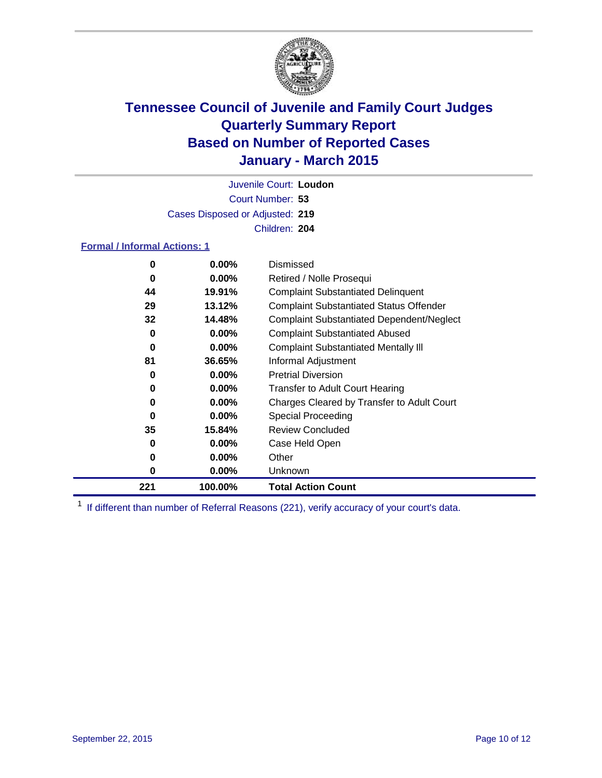

Court Number: **53** Juvenile Court: **Loudon** Cases Disposed or Adjusted: **219** Children: **204**

### **Formal / Informal Actions: 1**

| 0   | $0.00\%$ | Dismissed                                        |
|-----|----------|--------------------------------------------------|
| 0   | $0.00\%$ | Retired / Nolle Prosequi                         |
| 44  | 19.91%   | <b>Complaint Substantiated Delinquent</b>        |
| 29  | 13.12%   | <b>Complaint Substantiated Status Offender</b>   |
| 32  | 14.48%   | <b>Complaint Substantiated Dependent/Neglect</b> |
| 0   | $0.00\%$ | <b>Complaint Substantiated Abused</b>            |
| 0   | $0.00\%$ | <b>Complaint Substantiated Mentally III</b>      |
| 81  | 36.65%   | Informal Adjustment                              |
| 0   | $0.00\%$ | <b>Pretrial Diversion</b>                        |
| 0   | $0.00\%$ | <b>Transfer to Adult Court Hearing</b>           |
| 0   | $0.00\%$ | Charges Cleared by Transfer to Adult Court       |
| 0   | $0.00\%$ | Special Proceeding                               |
| 35  | 15.84%   | <b>Review Concluded</b>                          |
| 0   | $0.00\%$ | Case Held Open                                   |
| 0   | $0.00\%$ | Other                                            |
| 0   | $0.00\%$ | Unknown                                          |
| 221 | 100.00%  | <b>Total Action Count</b>                        |

<sup>1</sup> If different than number of Referral Reasons (221), verify accuracy of your court's data.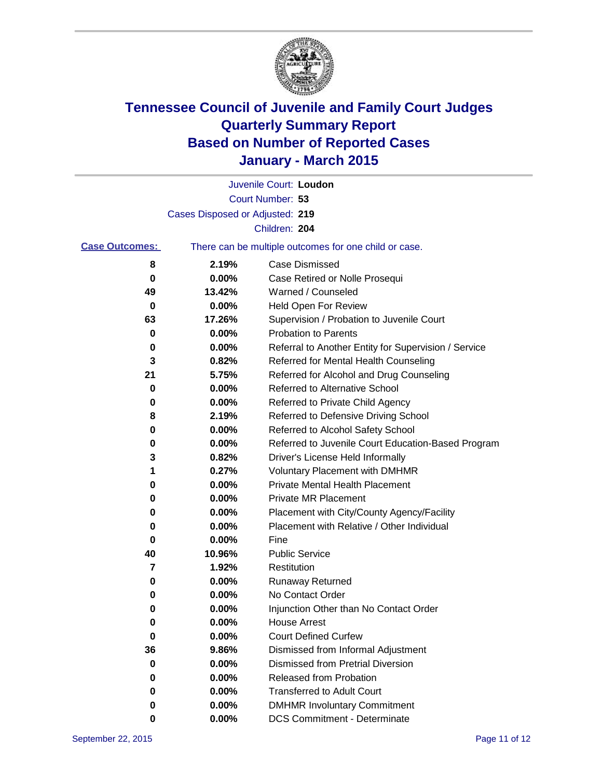

|                       |                                 | Juvenile Court: Loudon                                |
|-----------------------|---------------------------------|-------------------------------------------------------|
|                       |                                 | Court Number: 53                                      |
|                       | Cases Disposed or Adjusted: 219 |                                                       |
|                       |                                 | Children: 204                                         |
| <b>Case Outcomes:</b> |                                 | There can be multiple outcomes for one child or case. |
| 8                     | 2.19%                           | Case Dismissed                                        |
| 0                     | 0.00%                           | Case Retired or Nolle Prosequi                        |
| 49                    | 13.42%                          | Warned / Counseled                                    |
| 0                     | 0.00%                           | <b>Held Open For Review</b>                           |
| 63                    | 17.26%                          | Supervision / Probation to Juvenile Court             |
| 0                     | 0.00%                           | <b>Probation to Parents</b>                           |
| 0                     | 0.00%                           | Referral to Another Entity for Supervision / Service  |
| 3                     | 0.82%                           | Referred for Mental Health Counseling                 |
| 21                    | 5.75%                           | Referred for Alcohol and Drug Counseling              |
| 0                     | 0.00%                           | Referred to Alternative School                        |
| 0                     | 0.00%                           | Referred to Private Child Agency                      |
| 8                     | 2.19%                           | Referred to Defensive Driving School                  |
| 0                     | 0.00%                           | Referred to Alcohol Safety School                     |
| 0                     | 0.00%                           | Referred to Juvenile Court Education-Based Program    |
| 3                     | 0.82%                           | Driver's License Held Informally                      |
| 1                     | 0.27%                           | <b>Voluntary Placement with DMHMR</b>                 |
| 0                     | 0.00%                           | <b>Private Mental Health Placement</b>                |
| 0                     | 0.00%                           | <b>Private MR Placement</b>                           |
| 0                     | 0.00%                           | Placement with City/County Agency/Facility            |
| 0                     | 0.00%                           | Placement with Relative / Other Individual            |
| 0                     | 0.00%                           | Fine                                                  |
| 40                    | 10.96%                          | <b>Public Service</b>                                 |
| 7                     | 1.92%                           | Restitution                                           |
| 0                     | 0.00%                           | <b>Runaway Returned</b>                               |
| 0                     | 0.00%                           | No Contact Order                                      |
| 0                     | 0.00%                           | Injunction Other than No Contact Order                |
| 0                     | 0.00%                           | <b>House Arrest</b>                                   |
| 0                     | 0.00%                           | <b>Court Defined Curfew</b>                           |
| 36                    | 9.86%                           | Dismissed from Informal Adjustment                    |
| 0                     | 0.00%                           | <b>Dismissed from Pretrial Diversion</b>              |
| 0                     | 0.00%                           | <b>Released from Probation</b>                        |
| 0                     | 0.00%                           | <b>Transferred to Adult Court</b>                     |
| 0                     | 0.00%                           | <b>DMHMR Involuntary Commitment</b>                   |
| 0                     | 0.00%                           | <b>DCS Commitment - Determinate</b>                   |